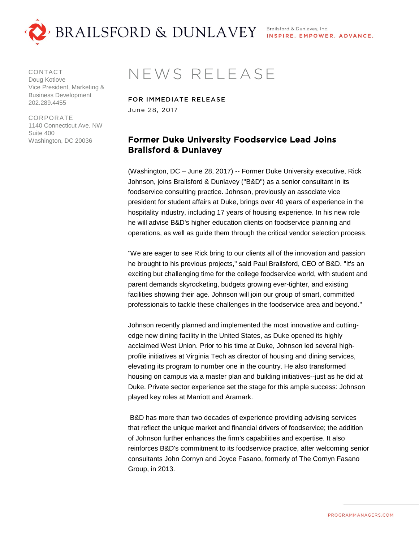

CONTACT Doug Kotlove Vice President, Marketing & Business Development 202.289.4455

CORPORATE 1140 Connecticut Ave. NW Suite 400 Washington, DC 20036

## NEWS RELEASE

FOR IMMEDIATE RELEASE June 28, 2017

## Former Duke University Foodservice Lead Joins Brailsford & Dunlavey

(Washington, DC – June 28, 2017) -- Former Duke University executive, Rick Johnson, joins Brailsford & Dunlavey ("B&D") as a senior consultant in its foodservice consulting practice. Johnson, previously an associate vice president for student affairs at Duke, brings over 40 years of experience in the hospitality industry, including 17 years of housing experience. In his new role he will advise B&D's higher education clients on foodservice planning and operations, as well as guide them through the critical vendor selection process.

"We are eager to see Rick bring to our clients all of the innovation and passion he brought to his previous projects," said Paul Brailsford, CEO of B&D. "It's an exciting but challenging time for the college foodservice world, with student and parent demands skyrocketing, budgets growing ever-tighter, and existing facilities showing their age. Johnson will join our group of smart, committed professionals to tackle these challenges in the foodservice area and beyond."

Johnson recently planned and implemented the most innovative and cuttingedge new dining facility in the United States, as Duke opened its highly acclaimed West Union. Prior to his time at Duke, Johnson led several highprofile initiatives at Virginia Tech as director of housing and dining services, elevating its program to number one in the country. He also transformed housing on campus via a master plan and building initiatives--just as he did at Duke. Private sector experience set the stage for this ample success: Johnson played key roles at Marriott and Aramark.

B&D has more than two decades of experience providing advising services that reflect the unique market and financial drivers of foodservice; the addition of Johnson further enhances the firm's capabilities and expertise. It also reinforces B&D's commitment to its foodservice practice, after welcoming senior consultants John Cornyn and Joyce Fasano, formerly of The Cornyn Fasano Group, in 2013.